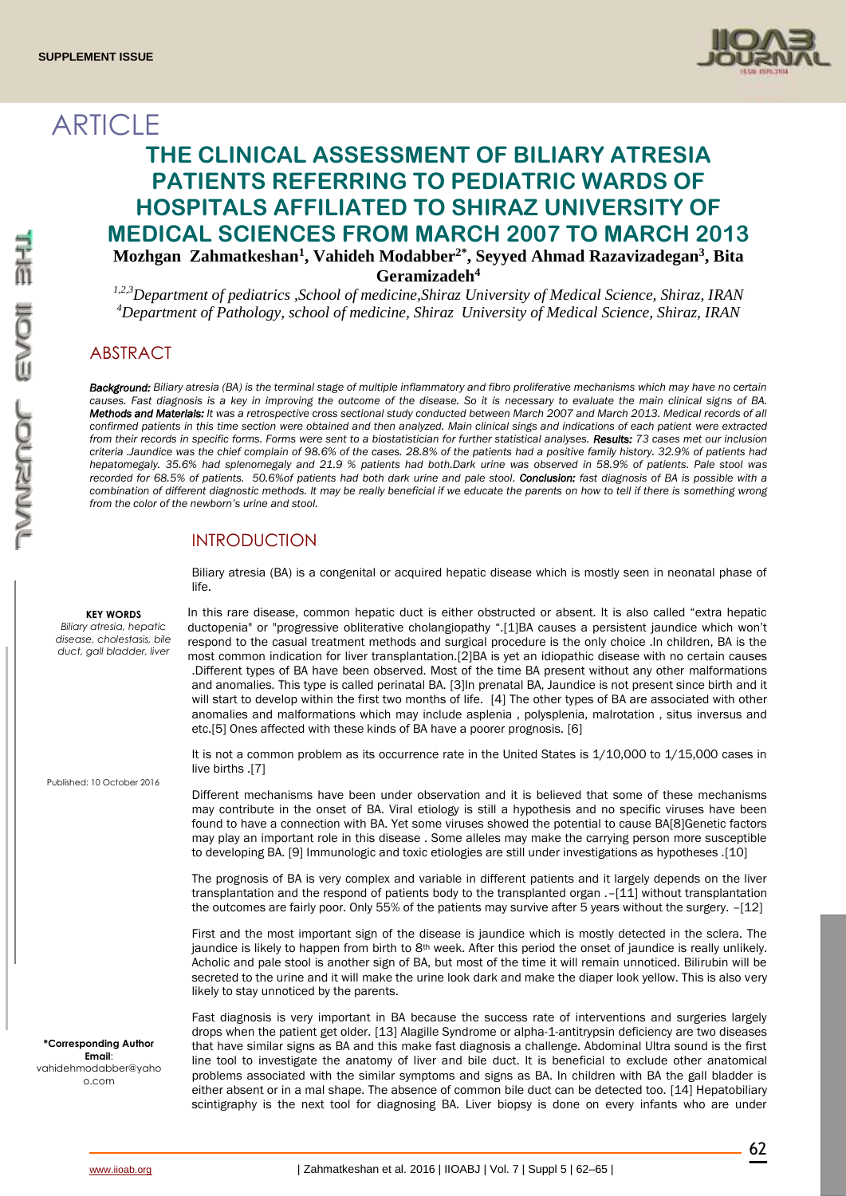

# **ARTICLE**

## **THE CLINICAL ASSESSMENT OF BILIARY ATRESIA PATIENTS REFERRING TO PEDIATRIC WARDS OF HOSPITALS AFFILIATED TO SHIRAZ UNIVERSITY OF MEDICAL SCIENCES FROM MARCH 2007 TO MARCH 2013 Mozhgan Zahmatkeshan<sup>1</sup> , Vahideh Modabber2\* , Seyyed Ahmad Razavizadegan<sup>3</sup> , Bita Geramizadeh<sup>4</sup>**

*1,2,3Department of pediatrics ,School of medicine,Shiraz University of Medical Science, Shiraz, IRAN <sup>4</sup>Department of Pathology, school of medicine, Shiraz University of Medical Science, Shiraz, IRAN*

## ABSTRACT

*Background: Biliary atresia (BA) is the terminal stage of multiple inflammatory and fibro proliferative mechanisms which may have no certain causes. Fast diagnosis is a key in improving the outcome of the disease. So it is necessary to evaluate the main clinical signs of BA. Methods and Materials: It was a retrospective cross sectional study conducted between March 2007 and March 2013. Medical records of all confirmed patients in this time section were obtained and then analyzed. Main clinical sings and indications of each patient were extracted from their records in specific forms. Forms were sent to a biostatistician for further statistical analyses. Results: 73 cases met our inclusion criteria .Jaundice was the chief complain of 98.6% of the cases. 28.8% of the patients had a positive family history. 32.9% of patients had hepatomegaly. 35.6% had splenomegaly and 21.9 % patients had both.Dark urine was observed in 58.9% of patients. Pale stool was recorded for 68.5% of patients. 50.6%of patients had both dark urine and pale stool. Conclusion: fast diagnosis of BA is possible with a combination of different diagnostic methods. It may be really beneficial if we educate the parents on how to tell if there is something wrong from the color of the newborn's urine and stool.* 

## INTRODUCTION

Biliary atresia (BA) is a congenital or acquired hepatic disease which is mostly seen in neonatal phase of life.

In this rare disease, common hepatic duct is either obstructed or absent. It is also called "extra hepatic ductopenia" or "progressive obliterative cholangiopathy ".[1]BA causes a persistent jaundice which won't respond to the casual treatment methods and surgical procedure is the only choice .In children, BA is the most common indication for liver transplantation.[2]BA is yet an idiopathic disease with no certain causes .Different types of BA have been observed. Most of the time BA present without any other malformations and anomalies. This type is called perinatal BA. [3]In prenatal BA, Jaundice is not present since birth and it will start to develop within the first two months of life. [4] The other types of BA are associated with other anomalies and malformations which may include asplenia , polysplenia, malrotation , situs inversus and etc.[5] Ones affected with these kinds of BA have a poorer prognosis. [6]

It is not a common problem as its occurrence rate in the United States is  $1/10,000$  to  $1/15,000$  cases in live births .[7]

Different mechanisms have been under observation and it is believed that some of these mechanisms may contribute in the onset of BA. Viral etiology is still a hypothesis and no specific viruses have been found to have a connection with BA. Yet some viruses showed the potential to cause BA[8]Genetic factors may play an important role in this disease . Some alleles may make the carrying person more susceptible to developing BA. [9] Immunologic and toxic etiologies are still under investigations as hypotheses .[10]

The prognosis of BA is very complex and variable in different patients and it largely depends on the liver transplantation and the respond of patients body to the transplanted organ .–[11] without transplantation the outcomes are fairly poor. Only 55% of the patients may survive after 5 years without the surgery. -[12]

First and the most important sign of the disease is jaundice which is mostly detected in the sclera. The jaundice is likely to happen from birth to 8<sup>th</sup> week. After this period the onset of jaundice is really unlikely. Acholic and pale stool is another sign of BA, but most of the time it will remain unnoticed. Bilirubin will be secreted to the urine and it will make the urine look dark and make the diaper look yellow. This is also very likely to stay unnoticed by the parents.

Fast diagnosis is very important in BA because the success rate of interventions and surgeries largely drops when the patient get older. [13] Alagille Syndrome or alpha-1-antitrypsin deficiency are two diseases that have similar signs as BA and this make fast diagnosis a challenge. Abdominal Ultra sound is the first line tool to investigate the anatomy of liver and bile duct. It is beneficial to exclude other anatomical problems associated with the similar symptoms and signs as BA. In children with BA the gall bladder is either absent or in a mal shape. The absence of common bile duct can be detected too. [14] Hepatobiliary scintigraphy is the next tool for diagnosing BA. Liver biopsy is done on every infants who are under

#### **KEY WORDS**

*Biliary atresia, hepatic disease, cholestasis, bile duct, gall bladder, liver*

Published: 10 October 2016

**\*Corresponding Author Email**:

vahidehmodabber@yaho o.com

62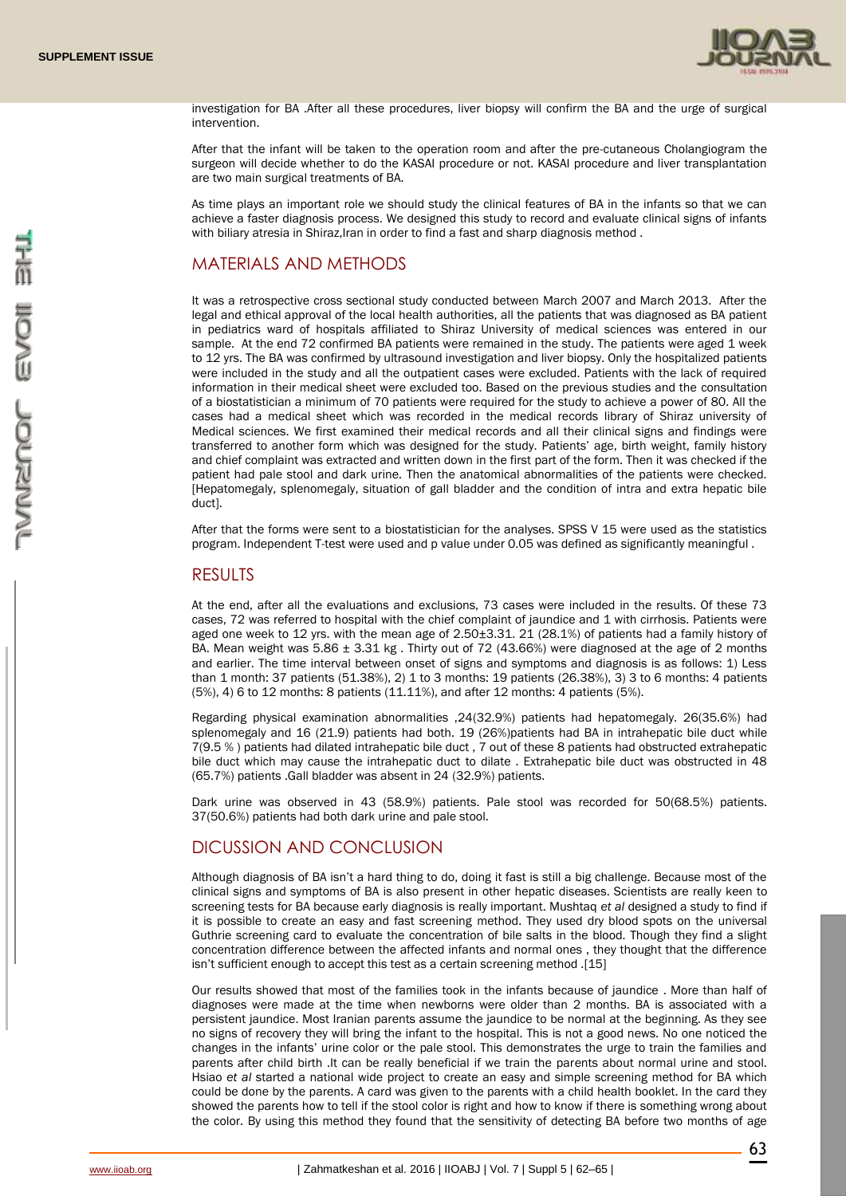

investigation for BA .After all these procedures, liver biopsy will confirm the BA and the urge of surgical intervention.

After that the infant will be taken to the operation room and after the pre-cutaneous Cholangiogram the surgeon will decide whether to do the KASAI procedure or not. KASAI procedure and liver transplantation are two main surgical treatments of BA.

As time plays an important role we should study the clinical features of BA in the infants so that we can achieve a faster diagnosis process. We designed this study to record and evaluate clinical signs of infants with biliary atresia in Shiraz, Iran in order to find a fast and sharp diagnosis method.

### MATERIALS AND METHODS

It was a retrospective cross sectional study conducted between March 2007 and March 2013. After the legal and ethical approval of the local health authorities, all the patients that was diagnosed as BA patient in pediatrics ward of hospitals affiliated to Shiraz University of medical sciences was entered in our sample. At the end 72 confirmed BA patients were remained in the study. The patients were aged 1 week to 12 yrs. The BA was confirmed by ultrasound investigation and liver biopsy. Only the hospitalized patients were included in the study and all the outpatient cases were excluded. Patients with the lack of required information in their medical sheet were excluded too. Based on the previous studies and the consultation of a biostatistician a minimum of 70 patients were required for the study to achieve a power of 80. All the cases had a medical sheet which was recorded in the medical records library of Shiraz university of Medical sciences. We first examined their medical records and all their clinical signs and findings were transferred to another form which was designed for the study. Patients' age, birth weight, family history and chief complaint was extracted and written down in the first part of the form. Then it was checked if the patient had pale stool and dark urine. Then the anatomical abnormalities of the patients were checked. [Hepatomegaly, splenomegaly, situation of gall bladder and the condition of intra and extra hepatic bile duct].

After that the forms were sent to a biostatistician for the analyses. SPSS V 15 were used as the statistics program. Independent T-test were used and p value under 0.05 was defined as significantly meaningful .

#### RESULTS

At the end, after all the evaluations and exclusions, 73 cases were included in the results. Of these 73 cases, 72 was referred to hospital with the chief complaint of jaundice and 1 with cirrhosis. Patients were aged one week to 12 yrs. with the mean age of 2.50±3.31. 21 (28.1%) of patients had a family history of BA. Mean weight was  $5.86 \pm 3.31$  kg. Thirty out of 72 (43.66%) were diagnosed at the age of 2 months and earlier. The time interval between onset of signs and symptoms and diagnosis is as follows: 1) Less than 1 month: 37 patients (51.38%), 2) 1 to 3 months: 19 patients (26.38%), 3) 3 to 6 months: 4 patients (5%), 4) 6 to 12 months: 8 patients (11.11%), and after 12 months: 4 patients (5%).

Regarding physical examination abnormalities ,24(32.9%) patients had hepatomegaly. 26(35.6%) had splenomegaly and 16 (21.9) patients had both. 19 (26%)patients had BA in intrahepatic bile duct while 7(9.5 % ) patients had dilated intrahepatic bile duct , 7 out of these 8 patients had obstructed extrahepatic bile duct which may cause the intrahepatic duct to dilate . Extrahepatic bile duct was obstructed in 48 (65.7%) patients .Gall bladder was absent in 24 (32.9%) patients.

Dark urine was observed in 43 (58.9%) patients. Pale stool was recorded for 50(68.5%) patients. 37(50.6%) patients had both dark urine and pale stool.

## DICUSSION AND CONCLUSION

Although diagnosis of BA isn't a hard thing to do, doing it fast is still a big challenge. Because most of the clinical signs and symptoms of BA is also present in other hepatic diseases. Scientists are really keen to screening tests for BA because early diagnosis is really important. Mushtaq *et al* designed a study to find if it is possible to create an easy and fast screening method. They used dry blood spots on the universal Guthrie screening card to evaluate the concentration of bile salts in the blood. Though they find a slight concentration difference between the affected infants and normal ones , they thought that the difference isn't sufficient enough to accept this test as a certain screening method .[15]

Our results showed that most of the families took in the infants because of jaundice . More than half of diagnoses were made at the time when newborns were older than 2 months. BA is associated with a persistent jaundice. Most Iranian parents assume the jaundice to be normal at the beginning. As they see no signs of recovery they will bring the infant to the hospital. This is not a good news. No one noticed the changes in the infants' urine color or the pale stool. This demonstrates the urge to train the families and parents after child birth .It can be really beneficial if we train the parents about normal urine and stool. Hsiao *et al* started a national wide project to create an easy and simple screening method for BA which could be done by the parents. A card was given to the parents with a child health booklet. In the card they showed the parents how to tell if the stool color is right and how to know if there is something wrong about the color. By using this method they found that the sensitivity of detecting BA before two months of age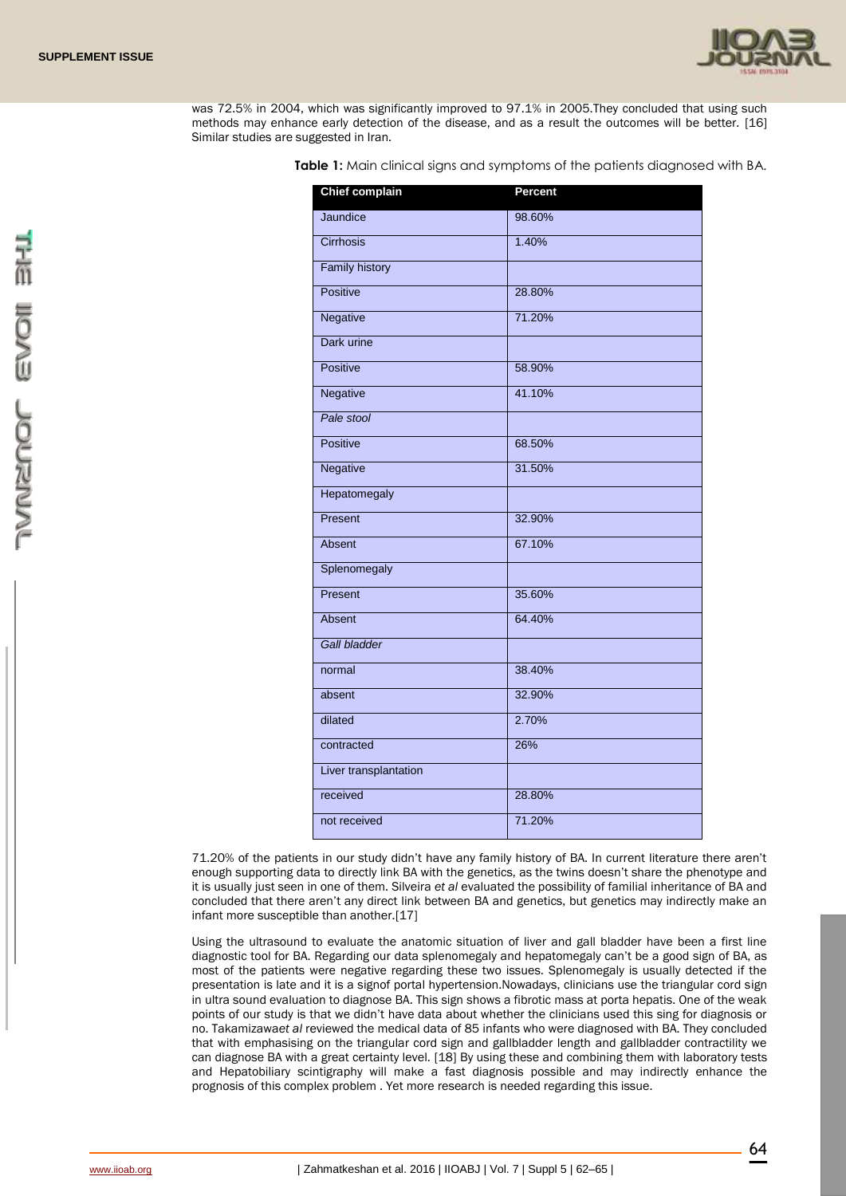

was 72.5% in 2004, which was significantly improved to 97.1% in 2005.They concluded that using such methods may enhance early detection of the disease, and as a result the outcomes will be better. [16] Similar studies are suggested in Iran.

**Table 1:** Main clinical signs and symptoms of the patients diagnosed with BA.

| <b>Chief complain</b> | Percent |
|-----------------------|---------|
| Jaundice              | 98.60%  |
| Cirrhosis             | 1.40%   |
| <b>Family history</b> |         |
| <b>Positive</b>       | 28.80%  |
| Negative              | 71.20%  |
| Dark urine            |         |
| <b>Positive</b>       | 58.90%  |
| <b>Negative</b>       | 41.10%  |
| Pale stool            |         |
| <b>Positive</b>       | 68.50%  |
| Negative              | 31.50%  |
| Hepatomegaly          |         |
| Present               | 32.90%  |
| Absent                | 67.10%  |
| Splenomegaly          |         |
| Present               | 35.60%  |
| Absent                | 64.40%  |
| <b>Gall bladder</b>   |         |
| normal                | 38.40%  |
| absent                | 32.90%  |
| dilated               | 2.70%   |
| contracted            | 26%     |
| Liver transplantation |         |
| received              | 28.80%  |
| not received          | 71.20%  |

71.20% of the patients in our study didn't have any family history of BA. In current literature there aren't enough supporting data to directly link BA with the genetics, as the twins doesn't share the phenotype and it is usually just seen in one of them. Silveira *et al* evaluated the possibility of familial inheritance of BA and concluded that there aren't any direct link between BA and genetics, but genetics may indirectly make an infant more susceptible than another.[17]

Using the ultrasound to evaluate the anatomic situation of liver and gall bladder have been a first line diagnostic tool for BA. Regarding our data splenomegaly and hepatomegaly can't be a good sign of BA, as most of the patients were negative regarding these two issues. Splenomegaly is usually detected if the presentation is late and it is a signof portal hypertension.Nowadays, clinicians use the triangular cord sign in ultra sound evaluation to diagnose BA. This sign shows a fibrotic mass at porta hepatis. One of the weak points of our study is that we didn't have data about whether the clinicians used this sing for diagnosis or no. Takamizawa*et al* reviewed the medical data of 85 infants who were diagnosed with BA. They concluded that with emphasising on the triangular cord sign and gallbladder length and gallbladder contractility we can diagnose BA with a great certainty level. [18] By using these and combining them with laboratory tests and Hepatobiliary scintigraphy will make a fast diagnosis possible and may indirectly enhance the prognosis of this complex problem . Yet more research is needed regarding this issue.

64